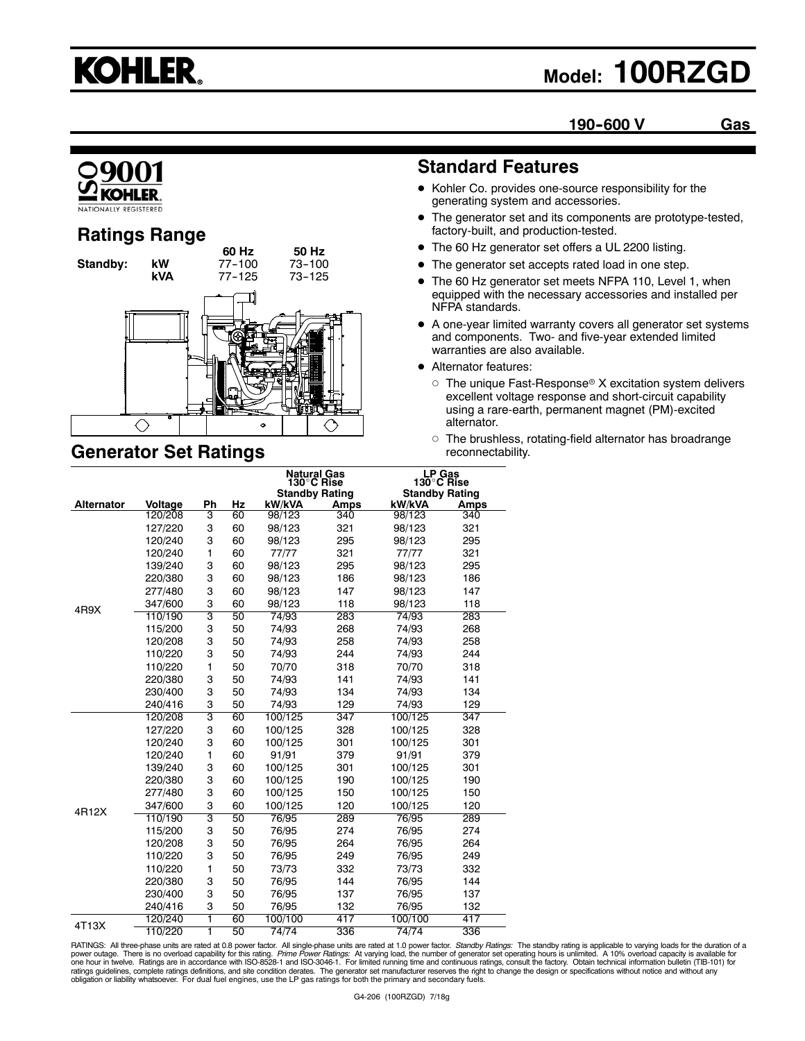# **KOHLER.**

## **Model: 100RZGD**

**190--600 V Gas**



## **Ratings Range**



## **Generator Set Ratings**

## **Standard Features**

- Kohler Co. provides one-source responsibility for the generating system and accessories.
- The generator set and its components are prototype-tested, factory-built, and production-tested.
- $\bullet$  The 60 Hz generator set offers a UL 2200 listing.
- The generator set accepts rated load in one step.
- The 60 Hz generator set meets NFPA 110, Level 1, when equipped with the necessary accessories and installed per NFPA standards.
- $\bullet$  A one-year limited warranty covers all generator set systems and components. Two- and five-year extended limited warranties are also available.
- **•** Alternator features:
	- $\circ$  The unique Fast-Response® X excitation system delivers excellent voltage response and short-circuit capability using a rare-earth, permanent magnet (PM)-excited alternator.
	- $\circ$  The brushless, rotating-field alternator has broadrange reconnectability.

|                   |         |              |    | <b>Natural Gas</b><br>130°C Rise |      | LP Gas<br>130°C Rise  |      |
|-------------------|---------|--------------|----|----------------------------------|------|-----------------------|------|
|                   |         |              |    | <b>Standby Rating</b>            |      | <b>Standby Rating</b> |      |
| <b>Alternator</b> | Voltage | Ph           | Hz | kW/kVA                           | Amps | kW/kVA                | Amps |
|                   | 120/208 | 3            | 60 | 98/123                           | 340  | 98/123                | 340  |
|                   | 127/220 | 3            | 60 | 98/123                           | 321  | 98/123                | 321  |
|                   | 120/240 | 3            | 60 | 98/123                           | 295  | 98/123                | 295  |
|                   | 120/240 | 1            | 60 | 77/77                            | 321  | 77/77                 | 321  |
|                   | 139/240 | 3            | 60 | 98/123                           | 295  | 98/123                | 295  |
|                   | 220/380 | 3            | 60 | 98/123                           | 186  | 98/123                | 186  |
|                   | 277/480 | 3            | 60 | 98/123                           | 147  | 98/123                | 147  |
| 4R9X              | 347/600 | 3            | 60 | 98/123                           | 118  | 98/123                | 118  |
|                   | 110/190 | 3            | 50 | 74/93                            | 283  | 74/93                 | 283  |
|                   | 115/200 | 3            | 50 | 74/93                            | 268  | 74/93                 | 268  |
|                   | 120/208 | 3            | 50 | 74/93                            | 258  | 74/93                 | 258  |
|                   | 110/220 | 3            | 50 | 74/93                            | 244  | 74/93                 | 244  |
|                   | 110/220 | $\mathbf{1}$ | 50 | 70/70                            | 318  | 70/70                 | 318  |
|                   | 220/380 | 3            | 50 | 74/93                            | 141  | 74/93                 | 141  |
|                   | 230/400 | 3            | 50 | 74/93                            | 134  | 74/93                 | 134  |
|                   | 240/416 | 3            | 50 | 74/93                            | 129  | 74/93                 | 129  |
|                   | 120/208 | 3            | 60 | 100/125                          | 347  | 100/125               | 347  |
|                   | 127/220 | 3            | 60 | 100/125                          | 328  | 100/125               | 328  |
|                   | 120/240 | 3            | 60 | 100/125                          | 301  | 100/125               | 301  |
|                   | 120/240 | $\mathbf{1}$ | 60 | 91/91                            | 379  | 91/91                 | 379  |
|                   | 139/240 | 3            | 60 | 100/125                          | 301  | 100/125               | 301  |
|                   | 220/380 | 3            | 60 | 100/125                          | 190  | 100/125               | 190  |
|                   | 277/480 | 3            | 60 | 100/125                          | 150  | 100/125               | 150  |
| 4R12X             | 347/600 | 3            | 60 | 100/125                          | 120  | 100/125               | 120  |
|                   | 110/190 | 3            | 50 | 76/95                            | 289  | 76/95                 | 289  |
|                   | 115/200 | 3            | 50 | 76/95                            | 274  | 76/95                 | 274  |
|                   | 120/208 | 3            | 50 | 76/95                            | 264  | 76/95                 | 264  |
|                   | 110/220 | 3            | 50 | 76/95                            | 249  | 76/95                 | 249  |
|                   | 110/220 | 1            | 50 | 73/73                            | 332  | 73/73                 | 332  |
|                   | 220/380 | 3            | 50 | 76/95                            | 144  | 76/95                 | 144  |
|                   | 230/400 | 3            | 50 | 76/95                            | 137  | 76/95                 | 137  |
|                   | 240/416 | 3            | 50 | 76/95                            | 132  | 76/95                 | 132  |
|                   | 120/240 | ī            | 60 | 100/100                          | 417  | 100/100               | 417  |
| 4T13X             | 110/220 | 1            | 50 | 74/74                            | 336  | 74/74                 | 336  |

RATINGS: All three-phase units are rated at 0.8 power factor. All single-phase units are rated at 1.0 power factor. *Standby Ratings:* The standby rating is applicable to varying loads for the duration of a<br>power outage. T ratings guidelines, complete ratings definitions, and site condition derates. The generator set manufacturer reserves the right to change the design or specifications without notice and without any<br>obligation or liability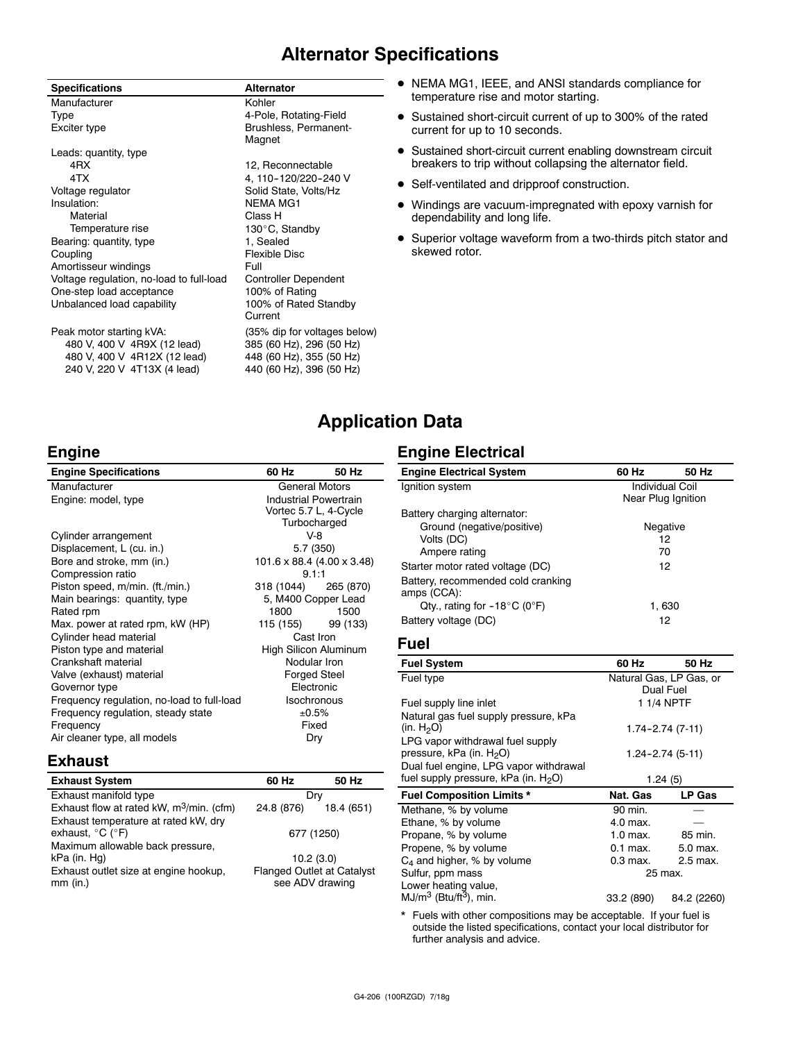## **Alternator Specifications**

| <b>Specifications</b>                    | <b>Alternator</b>               |
|------------------------------------------|---------------------------------|
| Manufacturer                             | Kohler                          |
| Type                                     | 4-Pole, Rotating-Field          |
| Exciter type                             | Brushless, Permanent-<br>Magnet |
| Leads: quantity, type                    |                                 |
| 4RX                                      | 12, Reconnectable               |
| 4TX                                      | 4, 110-120/220-240 V            |
| Voltage regulator                        | Solid State, Volts/Hz           |
| Insulation:                              | <b>NEMA MG1</b>                 |
| Material                                 | Class H                         |
| Temperature rise                         | 130°C, Standby                  |
| Bearing: quantity, type                  | 1, Sealed                       |
| Coupling                                 | Flexible Disc                   |
| Amortisseur windings                     | Full                            |
| Voltage regulation, no-load to full-load | <b>Controller Dependent</b>     |
| One-step load acceptance                 | 100% of Rating                  |
| Unbalanced load capability               | 100% of Rated Standby           |
|                                          | Current                         |
| Peak motor starting kVA:                 | (35% dip for voltages below)    |
| 480 V, 400 V 4R9X (12 lead)              | 385 (60 Hz), 296 (50 Hz)        |
| 480 V, 400 V 4R12X (12 lead)             | 448 (60 Hz), 355 (50 Hz)        |
| 240 V, 220 V 4T13X (4 lead)              | 440 (60 Hz), 396 (50 Hz)        |

- $\bullet$  NEMA MG1, IEEE, and ANSI standards compliance for temperature rise and motor starting.
- Sustained short-circuit current of up to 300% of the rated current for up to 10 seconds.
- Sustained short-circuit current enabling downstream circuit breakers to trip without collapsing the alternator field.
- Self-ventilated and dripproof construction.
- $\bullet$  Windings are vacuum-impregnated with epoxy varnish for dependability and long life.
- Superior voltage waveform from a two-thirds pitch stator and skewed rotor.

## **Application Data**

## **Engine**

| <b>Engine Specifications</b>               | 60 Hz                      | 50 Hz                        |  |
|--------------------------------------------|----------------------------|------------------------------|--|
| Manufacturer                               | <b>General Motors</b>      |                              |  |
| Engine: model, type                        |                            | <b>Industrial Powertrain</b> |  |
|                                            | Vortec 5.7 L, 4-Cycle      |                              |  |
|                                            | Turbocharged               |                              |  |
| Cylinder arrangement                       | $V-8$                      |                              |  |
| Displacement, L (cu. in.)                  | 5.7 (350)                  |                              |  |
| Bore and stroke, mm (in.)                  | 101.6 x 88.4 (4.00 x 3.48) |                              |  |
| Compression ratio                          | 9.1:1                      |                              |  |
| Piston speed, m/min. (ft./min.)            | 318 (1044) 265 (870)       |                              |  |
| Main bearings: quantity, type              | 5, M400 Copper Lead        |                              |  |
| Rated rpm                                  | 1800                       | 1500                         |  |
| Max. power at rated rpm, kW (HP)           | 115 (155)                  | 99 (133)                     |  |
| Cylinder head material                     | Cast Iron                  |                              |  |
| Piston type and material                   | High Silicon Aluminum      |                              |  |
| Crankshaft material                        | Nodular Iron               |                              |  |
| Valve (exhaust) material                   | Forged Steel               |                              |  |
| Governor type                              | Electronic                 |                              |  |
| Frequency regulation, no-load to full-load | <b>Isochronous</b>         |                              |  |
| Frequency regulation, steady state         | ±0.5%                      |                              |  |
| Frequency                                  | Fixed                      |                              |  |
| Air cleaner type, all models               | Dry                        |                              |  |

## **Exhaust**

| <b>Exhaust System</b>                                                         | 60 Hz                                                | 50 Hz      |
|-------------------------------------------------------------------------------|------------------------------------------------------|------------|
| Exhaust manifold type                                                         | Drv                                                  |            |
| Exhaust flow at rated kW, $m^3/m$ in. (cfm)                                   | 24.8 (876)                                           | 18.4 (651) |
| Exhaust temperature at rated kW, dry<br>exhaust, $^{\circ}$ C ( $^{\circ}$ F) | 677 (1250)                                           |            |
| Maximum allowable back pressure,                                              |                                                      |            |
| kPa (in. Hg)                                                                  | 10.2(3.0)                                            |            |
| Exhaust outlet size at engine hookup,<br>$mm$ (in.)                           | <b>Flanged Outlet at Catalyst</b><br>see ADV drawing |            |

## **Engine Electrical**

| 60 Hz                  | 50 Hz              |
|------------------------|--------------------|
| <b>Individual Coil</b> |                    |
|                        |                    |
|                        |                    |
|                        | Negative           |
|                        | 12                 |
|                        | 70                 |
|                        | 12                 |
|                        |                    |
|                        |                    |
|                        | 1.630              |
|                        | 12                 |
|                        | Near Plug Ignition |

## **Fuel**

| <b>Fuel System</b>                                                                         | 60 Hz      | 50 Hz                                |
|--------------------------------------------------------------------------------------------|------------|--------------------------------------|
| Fuel type                                                                                  |            | Natural Gas, LP Gas, or<br>Dual Fuel |
| Fuel supply line inlet                                                                     |            | 1 1/4 NPTF                           |
| Natural gas fuel supply pressure, kPa<br>(in. $H_2O$ )                                     |            | $1.74 - 2.74(7-11)$                  |
| LPG vapor withdrawal fuel supply<br>pressure, kPa (in. H <sub>2</sub> O)                   |            | 1.24-2.74 (5-11)                     |
| Dual fuel engine, LPG vapor withdrawal<br>fuel supply pressure, kPa (in. H <sub>2</sub> O) |            | 1.24(5)                              |
| <b>Fuel Composition Limits *</b>                                                           | Nat. Gas   | <b>LP Gas</b>                        |
| Methane, % by volume                                                                       | 90 min.    |                                      |
| Ethane, % by volume                                                                        | 4.0 max.   |                                      |
| Propane, % by volume                                                                       | $1.0$ max. | 85 min.                              |
| Propene, % by volume                                                                       | $0.1$ max. | 5.0 max.                             |
| $C_4$ and higher, % by volume                                                              | $0.3$ max. | 2.5 max.                             |
| Sulfur, ppm mass                                                                           | 25 max.    |                                      |
| Lower heating value,                                                                       |            |                                      |
| $MJ/m3$ (Btu/ft <sup>3</sup> ), min.                                                       | 33.2 (890) | 84.2 (2260)                          |

\* Fuels with other compositions may be acceptable. If your fuel is outside the listed specifications, contact your local distributor for further analysis and advice.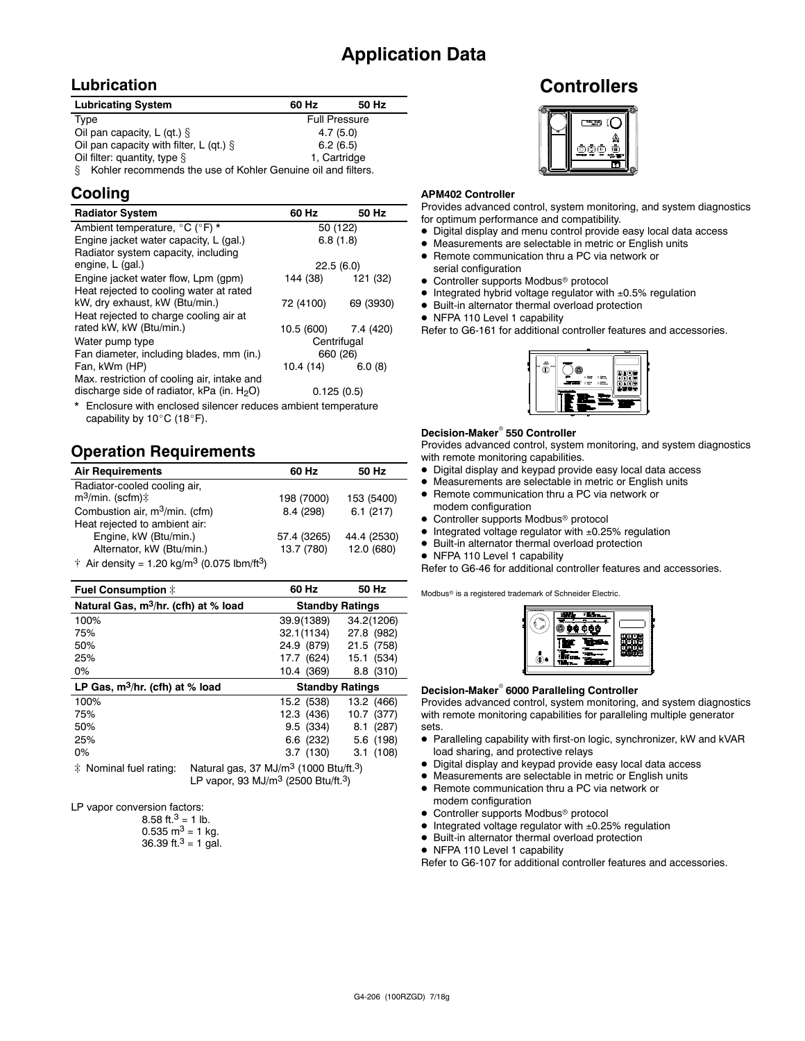## **Application Data**

## **Lubrication**

| <b>Lubricating System</b>                                         | 60 Hz                | 50 Hz |
|-------------------------------------------------------------------|----------------------|-------|
| Type                                                              | <b>Full Pressure</b> |       |
| Oil pan capacity, L (qt.) $\S$                                    | 4.7(5.0)             |       |
| Oil pan capacity with filter, L (qt.) $\S$                        | 6.2(6.5)             |       |
| Oil filter: quantity, type $\S$                                   | 1, Cartridge         |       |
| Kohler recommends the use of Kohler Genuine oil and filters.<br>S |                      |       |

## **Cooling**

| <b>Radiator System</b>                                                                       | 60 Hz                | 50 Hz     |
|----------------------------------------------------------------------------------------------|----------------------|-----------|
| Ambient temperature, °C (°F) *                                                               | 50 (122)             |           |
| Engine jacket water capacity, L (gal.)                                                       | 6.8(1.8)             |           |
| Radiator system capacity, including                                                          |                      |           |
| engine, L (gal.)                                                                             | 22.5(6.0)            |           |
| Engine jacket water flow, Lpm (gpm)                                                          | 144 (38)             | 121 (32)  |
| Heat rejected to cooling water at rated                                                      |                      |           |
| kW, dry exhaust, kW (Btu/min.)                                                               | 72 (4100)            | 69 (3930) |
| Heat rejected to charge cooling air at                                                       |                      |           |
| rated kW, kW (Btu/min.)                                                                      | 10.5 (600) 7.4 (420) |           |
| Water pump type                                                                              | Centrifugal          |           |
| Fan diameter, including blades, mm (in.)                                                     | 660 (26)             |           |
| Fan, kWm (HP)                                                                                | 10.4 (14)            | 6.0(8)    |
| Max. restriction of cooling air, intake and<br>discharge side of radiator, kPa (in. $H_2O$ ) |                      |           |
|                                                                                              | 0.125(0.5)           |           |

\* Enclosure with enclosed silencer reduces ambient temperature capability by  $10^{\circ}$ C (18 $^{\circ}$ F).

## **Operation Requirements**

| <b>Air Requirements</b>                                                 | 60 Hz       | 50 Hz       |
|-------------------------------------------------------------------------|-------------|-------------|
| Radiator-cooled cooling air,                                            |             |             |
| $m^3$ /min. (scfm) $\ddagger$                                           | 198 (7000)  | 153 (5400)  |
| Combustion air, $m^3/m$ in. (cfm)                                       | 8.4 (298)   | 6.1(217)    |
| Heat rejected to ambient air:                                           |             |             |
| Engine, kW (Btu/min.)                                                   | 57.4 (3265) | 44.4 (2530) |
| Alternator, kW (Btu/min.)                                               | 13.7 (780)  | 12.0 (680)  |
| $\pm$ Air density - 1.20 kg/m <sup>3</sup> (0.075 lhm/ft <sup>3</sup> ) |             |             |

 $\uparrow$  Air density = 1.20 kg/m $\circ$  (0.075 lbm/ft $\circ$ )

| Fuel Consumption $\ddagger$                      | 60 Hz                  | 50 Hz      |
|--------------------------------------------------|------------------------|------------|
| Natural Gas, m <sup>3</sup> /hr. (cfh) at % load | <b>Standby Ratings</b> |            |
| 100%                                             | 39.9(1389)             | 34.2(1206) |
| 75%                                              | 32.1(1134)             | 27.8 (982) |
| 50%                                              | 24.9 (879)             | 21.5 (758) |
| 25%                                              | 17.7 (624)             | 15.1 (534) |
| 0%                                               | 10.4 (369)             | 8.8 (310)  |
| LP Gas, $m^3/hr$ . (cfh) at % load               | <b>Standby Ratings</b> |            |
| 100%                                             | 15.2 (538)             | 13.2 (466) |
| 75%                                              | 12.3 (436)             | 10.7 (377) |
| 50%                                              | 9.5 (334)              | 8.1(287)   |
| 25%                                              | 6.6(232)               | 5.6 (198)  |
| $0\%$                                            | 3.7(130)               | 3.1(108)   |

 $\ddot{\text{*}}$  Nominal fuel rating: Natural gas, 37 MJ/m<sup>3</sup> (1000 Btu/ft.<sup>3</sup>) LP vapor, 93 MJ/m3 (2500 Btu/ft.3)

LP vapor conversion factors:

| 8.58 ft. <sup>3</sup> = 1 lb.        |
|--------------------------------------|
| $0.535 \text{ m}^3 = 1 \text{ kg}$ . |
| 36.39 ft. $3 = 1$ gal.               |

## **Controllers**



### **APM402 Controller**

Provides advanced control, system monitoring, and system diagnostics - for optimum performance and compatibility.

- $\bullet$  Digital display and menu control provide easy local data access
- $\bullet$  Measurements are selectable in metric or English units
- Remote communication thru a PC via network or serial configuration
- Controller supports Modbus<sup>®</sup> protocol
- $\bullet$  Integrated hybrid voltage regulator with  $\pm 0.5\%$  regulation
- $\bullet$  Built-in alternator thermal overload protection
- NFPA 110 Level 1 capability

Refer to G6-161 for additional controller features and accessories.



### **Decision-Maker<sup>®</sup> 550 Controller**

Provides advanced control, system monitoring, and system diagnostics with remote monitoring capabilities.

- $\bullet$  Digital display and keypad provide easy local data access
- $\bullet$  Measurements are selectable in metric or English units
- Remote communication thru a PC via network or modem configuration
- Controller supports Modbus<sup>®</sup> protocol
- $\bullet$  Integrated voltage regulator with  $\pm 0.25\%$  regulation
- $\bullet$  Built-in alternator thermal overload protection
- NFPA 110 Level 1 capability

Refer to G6-46 for additional controller features and accessories.

Modbus<sup>®</sup> is a registered trademark of Schneider Electric.

|   | 980<br>п |  |
|---|----------|--|
| Ġ |          |  |

#### **Decision-Maker<sup>®</sup> 6000 Paralleling Controller**

Provides advanced control, system monitoring, and system diagnostics with remote monitoring capabilities for paralleling multiple generator sets.

- Paralleling capability with first-on logic, synchronizer, kW and kVAR load sharing, and protective relays
- Digital display and keypad provide easy local data access
- Measurements are selectable in metric or English units
- Remote communication thru a PC via network or modem configuration
- Controller supports Modbus<sup>®</sup> protocol
- $\bullet$  Integrated voltage regulator with  $\pm 0.25\%$  regulation
- $\bullet$  Built-in alternator thermal overload protection
- NFPA 110 Level 1 capability

Refer to G6-107 for additional controller features and accessories.